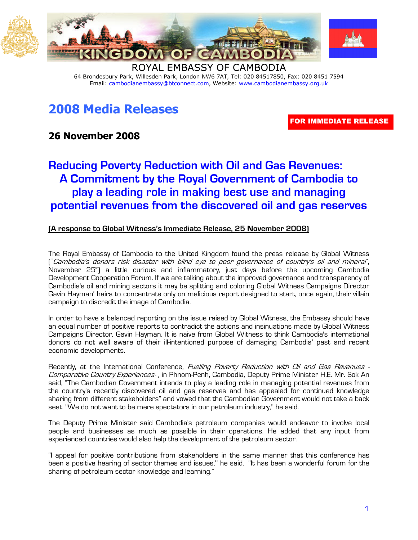

64 Brondesbury Park, Willesden Park, London NW6 7AT, Tel: 020 84517850, Fax: 020 8451 7594 Email: cambodianembassy@btconnect.com, Website: www.cambodianembassy.org.uk

## 2008 Media Releases

FOR IMMEDIATE RELEASE

## 26 November 2008

## Reducing Poverty Reduction with Oil and Gas Revenues: A Commitment by the Royal Government of Cambodia to play a leading role in making best use and managing potential revenues from the discovered oil and gas reserves

## (A response to Global Witness's Immediate Release, 25 November 2008)

The Royal Embassy of Cambodia to the United Kingdom found the press release by Global Witness ("Cambodia's donors risk disaster with blind eye to poor governance of country's oil and mineral", November 25th) a little curious and inflammatory, just days before the upcoming Cambodia Development Cooperation Forum. If we are talking about the improved governance and transparency of Cambodia's oil and mining sectors it may be splitting and coloring Global Witness Campaigns Director Gavin Hayman' hairs to concentrate only on malicious report designed to start, once again, their villain campaign to discredit the image of Cambodia.

In order to have a balanced reporting on the issue raised by Global Witness, the Embassy should have an equal number of positive reports to contradict the actions and insinuations made by Global Witness Campaigns Director, Gavin Hayman. It is naive from Global Witness to think Cambodia's international donors do not well aware of their ill-intentioned purpose of damaging Cambodia' past and recent economic developments.

Recently, at the International Conference, Fuelling Poverty Reduction with Oil and Gas Revenues -Comparative Country Experiences-, in Phnom-Penh, Cambodia, Deputy Prime Minister H.E. Mr. Sok An said, "The Cambodian Government intends to play a leading role in managing potential revenues from the country's recently discovered oil and gas reserves and has appealed for continued knowledge sharing from different stakeholders" and vowed that the Cambodian Government would not take a back seat. "We do not want to be mere spectators in our petroleum industry," he said.

The Deputy Prime Minister said Cambodia's petroleum companies would endeavor to involve local people and businesses as much as possible in their operations. He added that any input from experienced countries would also help the development of the petroleum sector.

"I appeal for positive contributions from stakeholders in the same manner that this conference has been a positive hearing of sector themes and issues,'' he said. "It has been a wonderful forum for the sharing of petroleum sector knowledge and learning."